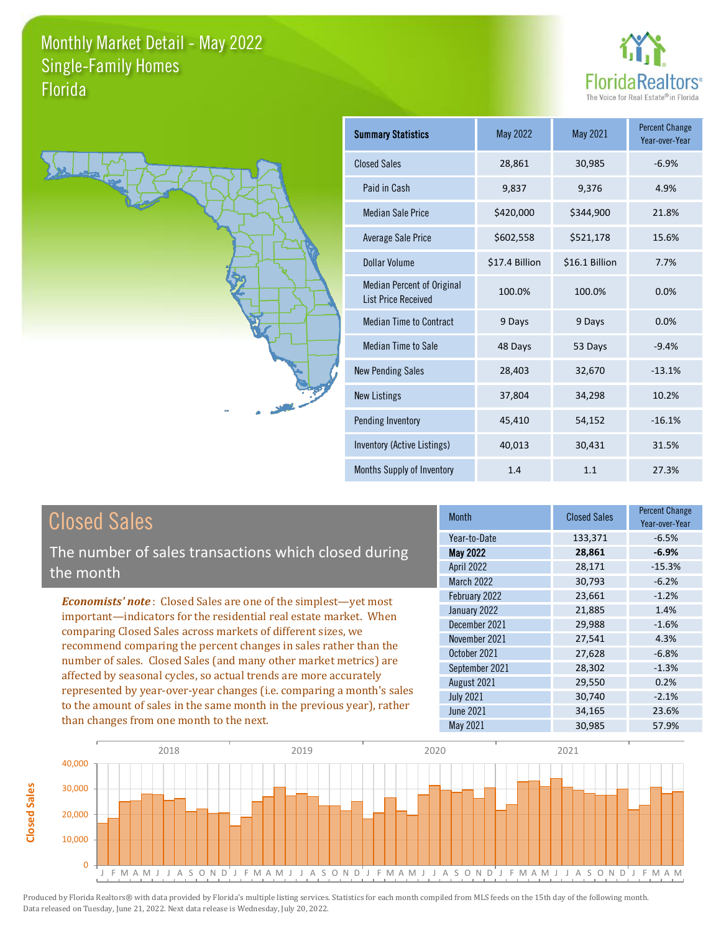**Closed Sales**

**Closed Sales** 





| <b>Summary Statistics</b>                                       | <b>May 2022</b> | May 2021       | <b>Percent Change</b><br>Year-over-Year |
|-----------------------------------------------------------------|-----------------|----------------|-----------------------------------------|
| <b>Closed Sales</b>                                             | 28,861          | 30,985         | $-6.9%$                                 |
| Paid in Cash                                                    | 9,837           | 9,376          | 4.9%                                    |
| Median Sale Price                                               | \$420,000       | \$344,900      | 21.8%                                   |
| <b>Average Sale Price</b>                                       | \$602,558       | \$521,178      | 15.6%                                   |
| Dollar Volume                                                   | \$17.4 Billion  | \$16.1 Billion | 7.7%                                    |
| <b>Median Percent of Original</b><br><b>List Price Received</b> | 100.0%          | 100.0%         | 0.0%                                    |
| <b>Median Time to Contract</b>                                  | 9 Days          | 9 Days         | 0.0%                                    |
| Median Time to Sale                                             | 48 Days         | 53 Days        | $-9.4%$                                 |
| <b>New Pending Sales</b>                                        | 28,403          | 32,670         | $-13.1%$                                |
| <b>New Listings</b>                                             | 37,804          | 34,298         | 10.2%                                   |
| Pending Inventory                                               | 45,410          | 54,152         | $-16.1%$                                |
| Inventory (Active Listings)                                     | 40,013          | 30,431         | 31.5%                                   |
| Months Supply of Inventory                                      | 1.4             | 1.1            | 27.3%                                   |

| <b>Closed Sales</b>                                                                                                                                                                                   | <b>Month</b>      | <b>Closed Sales</b> | <b>Percent Change</b><br>Year-over-Year |
|-------------------------------------------------------------------------------------------------------------------------------------------------------------------------------------------------------|-------------------|---------------------|-----------------------------------------|
|                                                                                                                                                                                                       | Year-to-Date      | 133,371             | $-6.5%$                                 |
| The number of sales transactions which closed during                                                                                                                                                  | <b>May 2022</b>   | 28,861              | $-6.9%$                                 |
| the month                                                                                                                                                                                             | <b>April 2022</b> | 28,171              | $-15.3%$                                |
|                                                                                                                                                                                                       | <b>March 2022</b> | 30,793              | $-6.2%$                                 |
| <b>Economists' note:</b> Closed Sales are one of the simplest—yet most                                                                                                                                | February 2022     | 23,661              | $-1.2%$                                 |
| important-indicators for the residential real estate market. When                                                                                                                                     | January 2022      | 21,885              | 1.4%                                    |
| comparing Closed Sales across markets of different sizes, we<br>recommend comparing the percent changes in sales rather than the<br>number of sales. Closed Sales (and many other market metrics) are | December 2021     | 29,988              | $-1.6%$                                 |
|                                                                                                                                                                                                       | November 2021     | 27,541              | 4.3%                                    |
|                                                                                                                                                                                                       | October 2021      | 27,628              | $-6.8%$                                 |
|                                                                                                                                                                                                       | September 2021    | 28,302              | $-1.3%$                                 |
| affected by seasonal cycles, so actual trends are more accurately                                                                                                                                     | August 2021       | 29,550              | 0.2%                                    |
| represented by year-over-year changes (i.e. comparing a month's sales                                                                                                                                 | <b>July 2021</b>  | 30,740              | $-2.1%$                                 |
| to the amount of sales in the same month in the previous year), rather                                                                                                                                | <b>June 2021</b>  | 34,165              | 23.6%                                   |
| than changes from one month to the next.                                                                                                                                                              | May 2021          | 30,985              | 57.9%                                   |

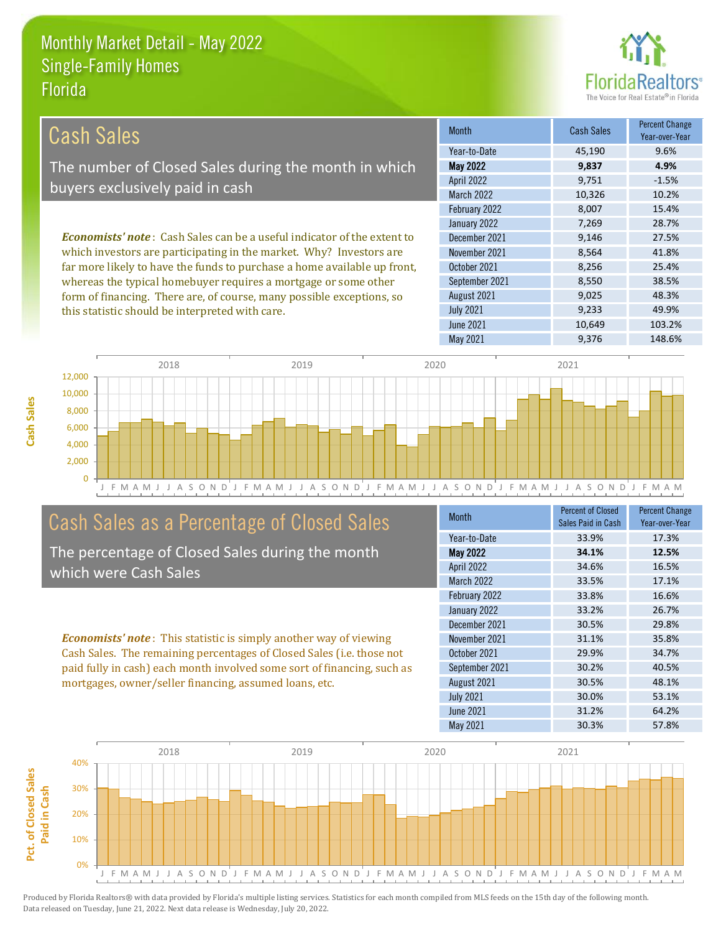

| Cash Sales                                                                     | <b>Month</b>      | <b>Cash Sales</b> | <b>Percent Change</b><br>Year-over-Year |
|--------------------------------------------------------------------------------|-------------------|-------------------|-----------------------------------------|
|                                                                                | Year-to-Date      | 45,190            | 9.6%                                    |
| The number of Closed Sales during the month in which                           | <b>May 2022</b>   | 9,837             | 4.9%                                    |
| buyers exclusively paid in cash                                                | <b>April 2022</b> | 9,751             | $-1.5%$                                 |
|                                                                                | <b>March 2022</b> | 10,326            | 10.2%                                   |
|                                                                                | February 2022     | 8.007             | 15.4%                                   |
|                                                                                | January 2022      | 7,269             | 28.7%                                   |
| <b>Economists' note:</b> Cash Sales can be a useful indicator of the extent to | December 2021     | 9,146             | 27.5%                                   |
| which investors are participating in the market. Why? Investors are            | November 2021     | 8,564             | 41.8%                                   |
| far more likely to have the funds to purchase a home available up front,       | October 2021      | 8,256             | 25.4%                                   |
| whereas the typical homebuyer requires a mortgage or some other                | September 2021    | 8,550             | 38.5%                                   |
| form of financing. There are, of course, many possible exceptions, so          | August 2021       | 9,025             | 48.3%                                   |
| this statistic should be interpreted with care.                                | <b>July 2021</b>  | 9,233             | 49.9%                                   |



# Cash Sales as a Percentage of Closed Sales

The percentage of Closed Sales during the month which were Cash Sales

*Economists' note* : This statistic is simply another way of viewing Cash Sales. The remaining percentages of Closed Sales (i.e. those not paid fully in cash) each month involved some sort of financing, such as mortgages, owner/seller financing, assumed loans, etc.

| Month             | <b>Percent of Closed</b> | <b>Percent Change</b> |
|-------------------|--------------------------|-----------------------|
|                   | Sales Paid in Cash       | Year-over-Year        |
| Year-to-Date      | 33.9%                    | 17.3%                 |
| <b>May 2022</b>   | 34.1%                    | 12.5%                 |
| <b>April 2022</b> | 34.6%                    | 16.5%                 |
| <b>March 2022</b> | 33.5%                    | 17.1%                 |
| February 2022     | 33.8%                    | 16.6%                 |
| January 2022      | 33.2%                    | 26.7%                 |
| December 2021     | 30.5%                    | 29.8%                 |
| November 2021     | 31.1%                    | 35.8%                 |
| October 2021      | 29.9%                    | 34.7%                 |
| September 2021    | 30.2%                    | 40.5%                 |
| August 2021       | 30.5%                    | 48.1%                 |
| <b>July 2021</b>  | 30.0%                    | 53.1%                 |
| <b>June 2021</b>  | 31.2%                    | 64.2%                 |
| May 2021          | 30.3%                    | 57.8%                 |

June 2021 10,649 103.2%

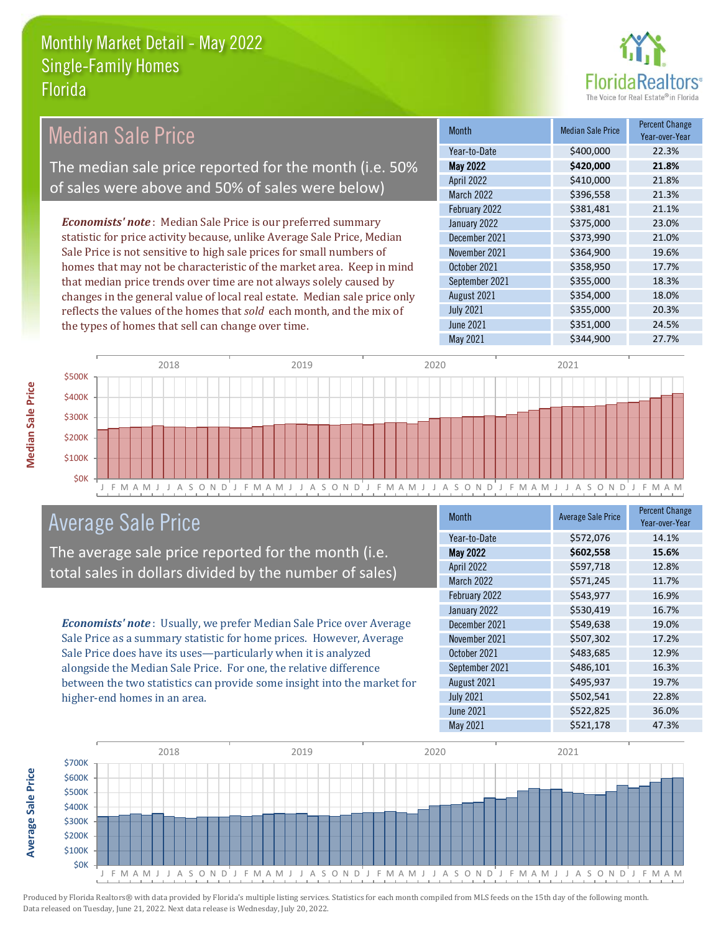

| <b>Median Sale Price</b>                                                  | <b>Month</b>      | <b>Median Sale Price</b> | <b>Percent Change</b><br>Year-over-Year |
|---------------------------------------------------------------------------|-------------------|--------------------------|-----------------------------------------|
|                                                                           | Year-to-Date      | \$400,000                | 22.3%                                   |
| The median sale price reported for the month (i.e. 50%                    | <b>May 2022</b>   | \$420,000                | 21.8%                                   |
| of sales were above and 50% of sales were below)                          | <b>April 2022</b> | \$410,000                | 21.8%                                   |
|                                                                           | <b>March 2022</b> | \$396,558                | 21.3%                                   |
|                                                                           | February 2022     | \$381,481                | 21.1%                                   |
| <b>Economists' note</b> : Median Sale Price is our preferred summary      | January 2022      | \$375,000                | 23.0%                                   |
| statistic for price activity because, unlike Average Sale Price, Median   | December 2021     | \$373,990                | 21.0%                                   |
| Sale Price is not sensitive to high sale prices for small numbers of      | November 2021     | \$364,900                | 19.6%                                   |
| homes that may not be characteristic of the market area. Keep in mind     | October 2021      | \$358,950                | 17.7%                                   |
| that median price trends over time are not always solely caused by        | September 2021    | \$355,000                | 18.3%                                   |
| changes in the general value of local real estate. Median sale price only | August 2021       | \$354,000                | 18.0%                                   |
| reflects the values of the homes that sold each month, and the mix of     | <b>July 2021</b>  | \$355,000                | 20.3%                                   |
| the types of homes that sell can change over time.                        | June 2021         | \$351,000                | 24.5%                                   |



## Average Sale Price

The average sale price reported for the month (i.e. total sales in dollars divided by the number of sales)

*Economists' note* : Usually, we prefer Median Sale Price over Average Sale Price as a summary statistic for home prices. However, Average Sale Price does have its uses—particularly when it is analyzed alongside the Median Sale Price. For one, the relative difference between the two statistics can provide some insight into the market for higher-end homes in an area.

| <b>Month</b>      | <b>Average Sale Price</b> | <b>Percent Change</b><br>Year-over-Year |
|-------------------|---------------------------|-----------------------------------------|
| Year-to-Date      | \$572,076                 | 14.1%                                   |
| <b>May 2022</b>   | \$602,558                 | 15.6%                                   |
| April 2022        | \$597,718                 | 12.8%                                   |
| <b>March 2022</b> | \$571,245                 | 11.7%                                   |
| February 2022     | \$543,977                 | 16.9%                                   |
| January 2022      | \$530,419                 | 16.7%                                   |
| December 2021     | \$549,638                 | 19.0%                                   |
| November 2021     | \$507,302                 | 17.2%                                   |
| October 2021      | \$483,685                 | 12.9%                                   |
| September 2021    | \$486,101                 | 16.3%                                   |
| August 2021       | \$495,937                 | 19.7%                                   |
| <b>July 2021</b>  | \$502,541                 | 22.8%                                   |
| <b>June 2021</b>  | \$522,825                 | 36.0%                                   |
| May 2021          | \$521,178                 | 47.3%                                   |

May 2021 **\$344,900** 27.7%



Produced by Florida Realtors® with data provided by Florida's multiple listing services. Statistics for each month compiled from MLS feeds on the 15th day of the following month. Data released on Tuesday, June 21, 2022. Next data release is Wednesday, July 20, 2022.

**Average Sale Price**

**Average Sale Price**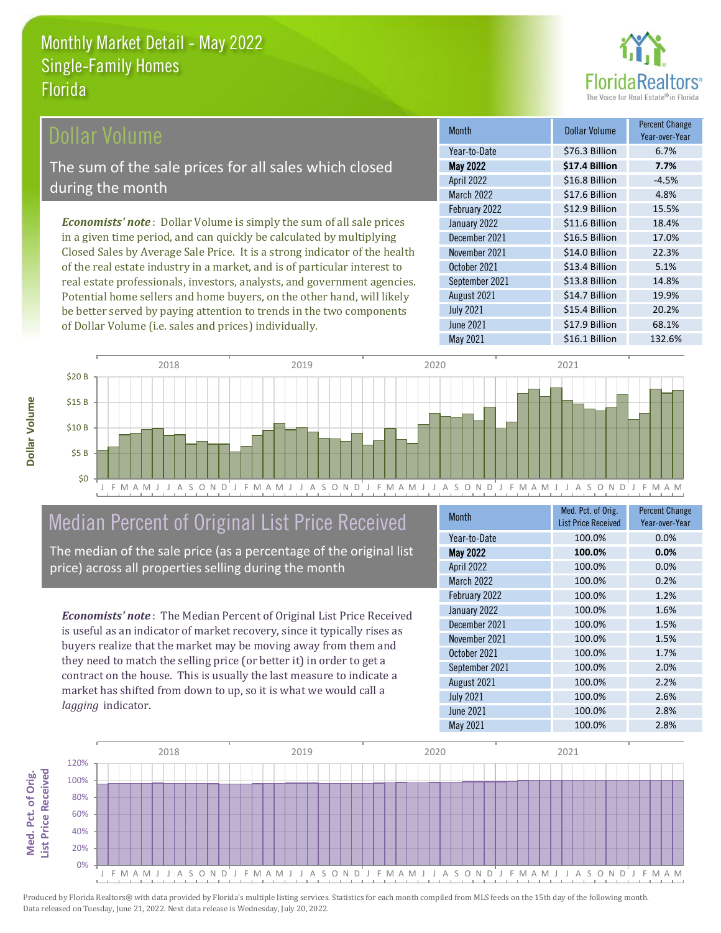

## Dollar Volume

The sum of the sale prices for all sales which closed during the month

*Economists' note* : Dollar Volume is simply the sum of all sale prices in a given time period, and can quickly be calculated by multiplying Closed Sales by Average Sale Price. It is a strong indicator of the health of the real estate industry in a market, and is of particular interest to real estate professionals, investors, analysts, and government agencies. Potential home sellers and home buyers, on the other hand, will likely be better served by paying attention to trends in the two components of Dollar Volume (i.e. sales and prices) individually.

| <b>Month</b>     | <b>Dollar Volume</b> | <b>Percent Change</b><br>Year-over-Year |
|------------------|----------------------|-----------------------------------------|
| Year-to-Date     | \$76.3 Billion       | 6.7%                                    |
| <b>May 2022</b>  | \$17.4 Billion       | 7.7%                                    |
| April 2022       | \$16.8 Billion       | $-4.5%$                                 |
| March 2022       | \$17.6 Billion       | 4.8%                                    |
| February 2022    | \$12.9 Billion       | 15.5%                                   |
| January 2022     | \$11.6 Billion       | 18.4%                                   |
| December 2021    | \$16.5 Billion       | 17.0%                                   |
| November 2021    | \$14.0 Billion       | 22.3%                                   |
| October 2021     | \$13.4 Billion       | 5.1%                                    |
| September 2021   | \$13.8 Billion       | 14.8%                                   |
| August 2021      | \$14.7 Billion       | 19.9%                                   |
| <b>July 2021</b> | \$15.4 Billion       | 20.2%                                   |
| <b>June 2021</b> | \$17.9 Billion       | 68.1%                                   |
| <b>May 2021</b>  | \$16.1 Billion       | 132.6%                                  |



# Median Percent of Original List Price Received

The median of the sale price (as a percentage of the original list price) across all properties selling during the month

*Economists' note* : The Median Percent of Original List Price Received is useful as an indicator of market recovery, since it typically rises as buyers realize that the market may be moving away from them and they need to match the selling price (or better it) in order to get a contract on the house. This is usually the last measure to indicate a market has shifted from down to up, so it is what we would call a *lagging* indicator.

| <b>Month</b>     | Med. Pct. of Orig.         | <b>Percent Change</b> |
|------------------|----------------------------|-----------------------|
|                  | <b>List Price Received</b> | Year-over-Year        |
| Year-to-Date     | 100.0%                     | 0.0%                  |
| <b>May 2022</b>  | 100.0%                     | 0.0%                  |
| April 2022       | 100.0%                     | 0.0%                  |
| March 2022       | 100.0%                     | 0.2%                  |
| February 2022    | 100.0%                     | 1.2%                  |
| January 2022     | 100.0%                     | 1.6%                  |
| December 2021    | 100.0%                     | 1.5%                  |
| November 2021    | 100.0%                     | 1.5%                  |
| October 2021     | 100.0%                     | 1.7%                  |
| September 2021   | 100.0%                     | 2.0%                  |
| August 2021      | 100.0%                     | 2.2%                  |
| <b>July 2021</b> | 100.0%                     | 2.6%                  |
| June 2021        | 100.0%                     | 2.8%                  |
| May 2021         | 100.0%                     | 2.8%                  |

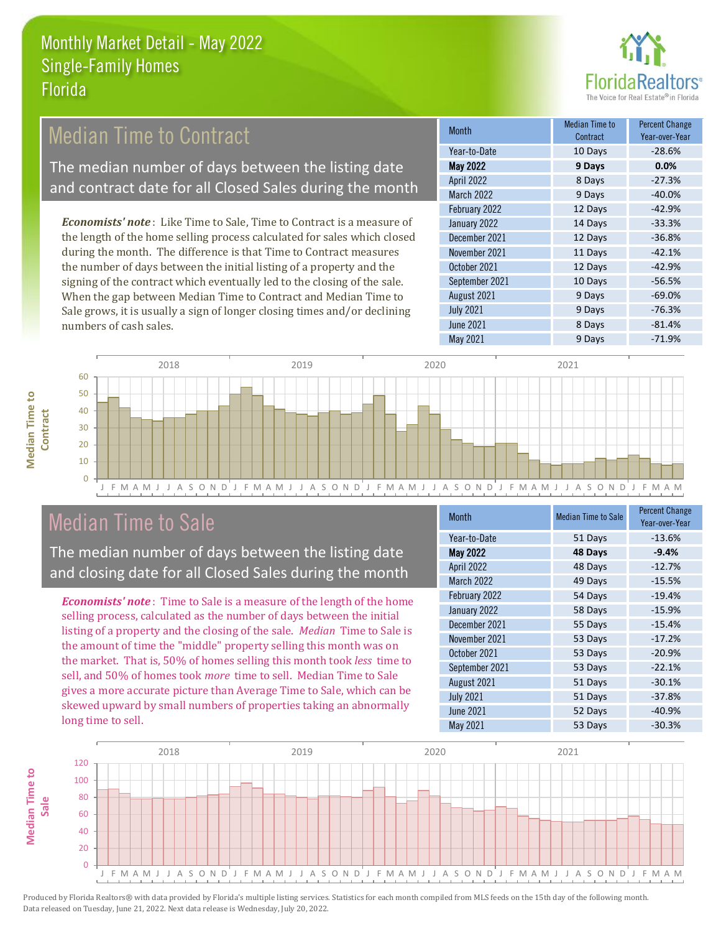

#### *Economists' note* : Like Time to Sale, Time to Contract is a measure of the length of the home selling process calculated for sales which closed during the month. The difference is that Time to Contract measures the number of days between the initial listing of a property and the January 2022 14 Days -33.3% December 2021 12 Days -36.8% November 2021 **11 Days** -42.1% October 2021 12 Days -42.9% Month Median Time to Contract Percent Change Year-over-Year May 2022 **9 Days 0.0%** Year-to-Date 10 Days -28.6% April 2022 8 Days -27.3% March 2022 9 Days -40.0% February 2022 12 Days -42.9% Median Time to Contract The median number of days between the listing date and contract date for all Closed Sales during the month

signing of the contract which eventually led to the closing of the sale. When the gap between Median Time to Contract and Median Time to Sale grows, it is usually a sign of longer closing times and/or declining numbers of cash sales.

| <b>Month</b>     | <b>Mediali Thile to</b><br>Contract | <b>Percent Unange</b><br>Year-over-Year |
|------------------|-------------------------------------|-----------------------------------------|
| Year-to-Date     | 10 Days                             | $-28.6%$                                |
| May 2022         | 9 Days                              | 0.0%                                    |
| April 2022       | 8 Days                              | $-27.3%$                                |
| March 2022       | 9 Days                              | $-40.0%$                                |
| February 2022    | 12 Days                             | $-42.9%$                                |
| January 2022     | 14 Days                             | $-33.3%$                                |
| December 2021    | 12 Days                             | $-36.8%$                                |
| November 2021    | 11 Days                             | $-42.1%$                                |
| October 2021     | 12 Days                             | $-42.9%$                                |
| September 2021   | 10 Days                             | $-56.5%$                                |
| August 2021      | 9 Days                              | $-69.0%$                                |
| <b>July 2021</b> | 9 Days                              | $-76.3%$                                |
| <b>June 2021</b> | 8 Days                              | $-81.4%$                                |
| May 2021         | 9 Days                              | $-71.9%$                                |



# Median Time to Sale

**Median Time to** 

**Median Time to** 

The median number of days between the listing date and closing date for all Closed Sales during the month

*Economists' note* : Time to Sale is a measure of the length of the home selling process, calculated as the number of days between the initial listing of a property and the closing of the sale. *Median* Time to Sale is the amount of time the "middle" property selling this month was on the market. That is, 50% of homes selling this month took *less* time to sell, and 50% of homes took *more* time to sell. Median Time to Sale gives a more accurate picture than Average Time to Sale, which can be skewed upward by small numbers of properties taking an abnormally long time to sell.

| <b>Month</b>      | <b>Median Time to Sale</b> | <b>Percent Change</b><br>Year-over-Year |
|-------------------|----------------------------|-----------------------------------------|
| Year-to-Date      | 51 Days                    | $-13.6%$                                |
| May 2022          | 48 Days                    | $-9.4%$                                 |
| April 2022        | 48 Days                    | $-12.7%$                                |
| <b>March 2022</b> | 49 Days                    | $-15.5%$                                |
| February 2022     | 54 Days                    | $-19.4%$                                |
| January 2022      | 58 Days                    | $-15.9%$                                |
| December 2021     | 55 Days                    | $-15.4%$                                |
| November 2021     | 53 Days                    | $-17.2%$                                |
| October 2021      | 53 Days                    | $-20.9%$                                |
| September 2021    | 53 Days                    | $-22.1%$                                |
| August 2021       | 51 Days                    | $-30.1%$                                |
| <b>July 2021</b>  | 51 Days                    | $-37.8%$                                |
| <b>June 2021</b>  | 52 Days                    | $-40.9%$                                |
| May 2021          | 53 Days                    | $-30.3%$                                |

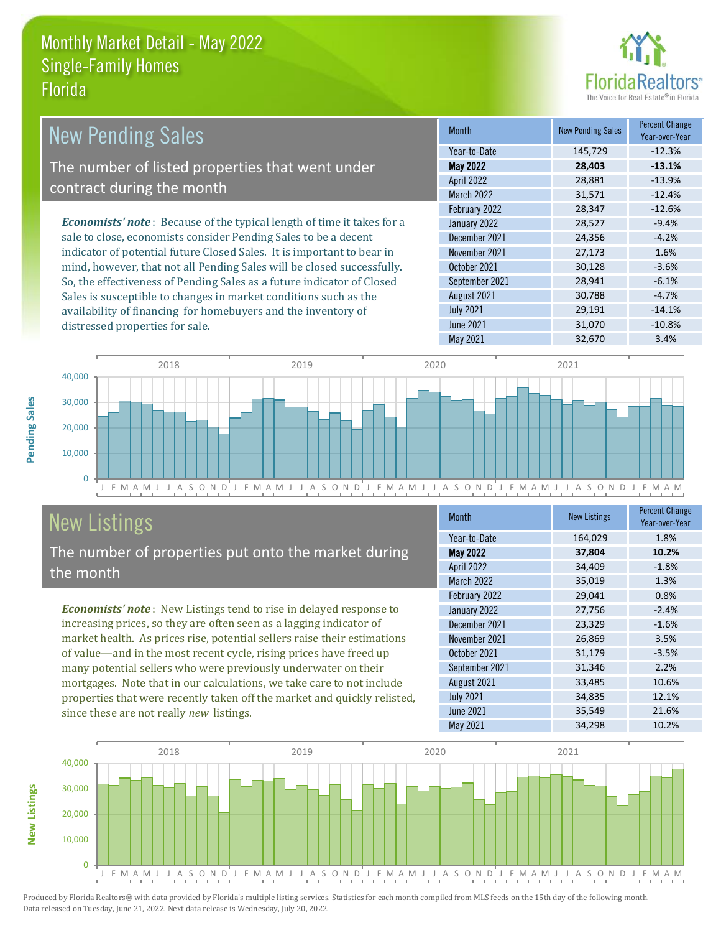distressed properties for sale.



| <b>New Pending Sales</b>                                                      | <b>Month</b>      | <b>New Pending Sales</b> | <b>Percent Change</b><br>Year-over-Year |
|-------------------------------------------------------------------------------|-------------------|--------------------------|-----------------------------------------|
|                                                                               | Year-to-Date      | 145,729                  | $-12.3%$                                |
| The number of listed properties that went under                               | <b>May 2022</b>   | 28,403                   | $-13.1%$                                |
|                                                                               | <b>April 2022</b> | 28,881                   | $-13.9%$                                |
| contract during the month                                                     | <b>March 2022</b> | 31,571                   | $-12.4%$                                |
|                                                                               | February 2022     | 28,347                   | $-12.6%$                                |
| <b>Economists' note:</b> Because of the typical length of time it takes for a | January 2022      | 28,527                   | $-9.4%$                                 |
| sale to close, economists consider Pending Sales to be a decent               | December 2021     | 24,356                   | $-4.2%$                                 |
| indicator of potential future Closed Sales. It is important to bear in        | November 2021     | 27,173                   | 1.6%                                    |
| mind, however, that not all Pending Sales will be closed successfully.        | October 2021      | 30,128                   | $-3.6%$                                 |
| So, the effectiveness of Pending Sales as a future indicator of Closed        | September 2021    | 28,941                   | $-6.1\%$                                |
| Sales is susceptible to changes in market conditions such as the              | August 2021       | 30,788                   | $-4.7\%$                                |
| availability of financing for homebuyers and the inventory of                 | <b>July 2021</b>  | 29,191                   | $-14.1%$                                |



# New Listings

The number of properties put onto the market during the month

*Economists' note* : New Listings tend to rise in delayed response to increasing prices, so they are often seen as a lagging indicator of market health. As prices rise, potential sellers raise their estimations of value—and in the most recent cycle, rising prices have freed up many potential sellers who were previously underwater on their mortgages. Note that in our calculations, we take care to not include properties that were recently taken off the market and quickly relisted, since these are not really *new* listings.

| <b>Month</b>      | <b>New Listings</b> | <b>Percent Change</b><br>Year-over-Year |
|-------------------|---------------------|-----------------------------------------|
| Year-to-Date      | 164,029             | 1.8%                                    |
| May 2022          | 37,804              | 10.2%                                   |
| April 2022        | 34,409              | $-1.8%$                                 |
| <b>March 2022</b> | 35,019              | 1.3%                                    |
| February 2022     | 29,041              | 0.8%                                    |
| January 2022      | 27,756              | $-2.4%$                                 |
| December 2021     | 23,329              | $-1.6%$                                 |
| November 2021     | 26,869              | 3.5%                                    |
| October 2021      | 31,179              | $-3.5%$                                 |
| September 2021    | 31,346              | 2.2%                                    |
| August 2021       | 33,485              | 10.6%                                   |
| <b>July 2021</b>  | 34,835              | 12.1%                                   |
| <b>June 2021</b>  | 35,549              | 21.6%                                   |
| May 2021          | 34,298              | 10.2%                                   |

June 2021 31,070 -10.8%



Produced by Florida Realtors® with data provided by Florida's multiple listing services. Statistics for each month compiled from MLS feeds on the 15th day of the following month. Data released on Tuesday, June 21, 2022. Next data release is Wednesday, July 20, 2022.

**New Listings**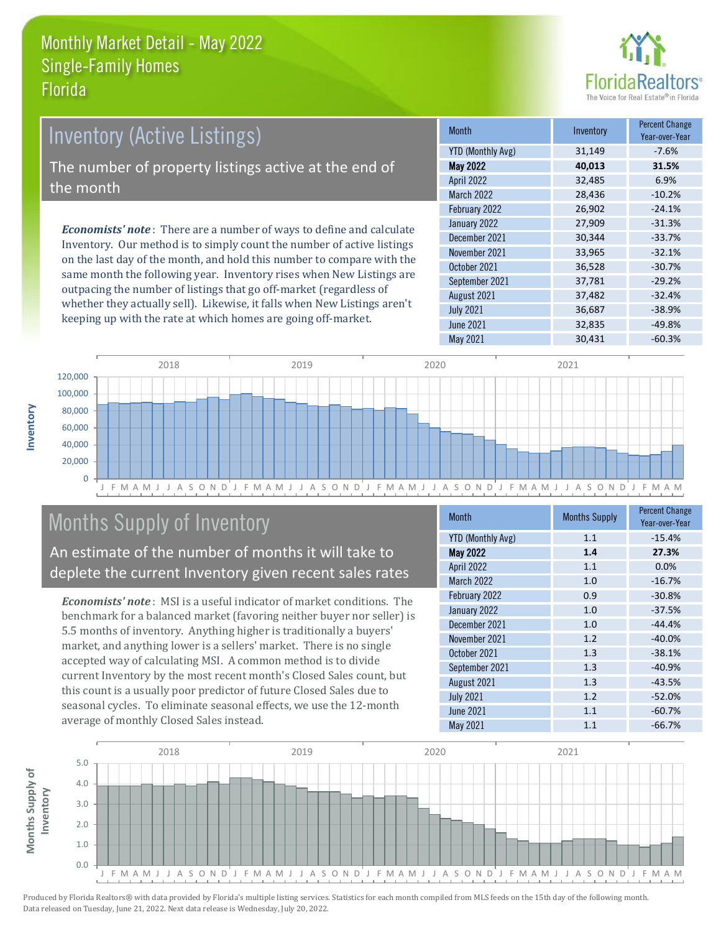

# *Economists' note* : There are a number of ways to define and calculate Inventory. Our method is to simply count the number of active listings Inventory (Active Listings) The number of property listings active at the end of the month

on the last day of the month, and hold this number to compare with the same month the following year. Inventory rises when New Listings are outpacing the number of listings that go off-market (regardless of whether they actually sell). Likewise, it falls when New Listings aren't keeping up with the rate at which homes are going off-market.

| <b>Month</b>             | Inventory | <b>Percent Change</b><br>Year-over-Year |
|--------------------------|-----------|-----------------------------------------|
| <b>YTD (Monthly Avg)</b> | 31,149    | $-7.6%$                                 |
| <b>May 2022</b>          | 40,013    | 31.5%                                   |
| April 2022               | 32,485    | 6.9%                                    |
| <b>March 2022</b>        | 28,436    | $-10.2%$                                |
| February 2022            | 26,902    | $-24.1%$                                |
| January 2022             | 27,909    | $-31.3%$                                |
| December 2021            | 30,344    | $-33.7%$                                |
| November 2021            | 33,965    | $-32.1%$                                |
| October 2021             | 36,528    | $-30.7%$                                |
| September 2021           | 37,781    | $-29.2%$                                |
| August 2021              | 37,482    | $-32.4%$                                |
| <b>July 2021</b>         | 36,687    | $-38.9%$                                |
| <b>June 2021</b>         | 32,835    | $-49.8%$                                |
| May 2021                 | 30,431    | $-60.3%$                                |



# Months Supply of Inventory

An estimate of the number of months it will take to deplete the current Inventory given recent sales rates

*Economists' note* : MSI is a useful indicator of market conditions. The benchmark for a balanced market (favoring neither buyer nor seller) is 5.5 months of inventory. Anything higher is traditionally a buyers' market, and anything lower is a sellers' market. There is no single accepted way of calculating MSI. A common method is to divide current Inventory by the most recent month's Closed Sales count, but this count is a usually poor predictor of future Closed Sales due to seasonal cycles. To eliminate seasonal effects, we use the 12-month average of monthly Closed Sales instead.

| <b>Month</b>             | <b>Months Supply</b> | <b>Percent Change</b><br>Year-over-Year |
|--------------------------|----------------------|-----------------------------------------|
| <b>YTD (Monthly Avg)</b> | 1.1                  | $-15.4%$                                |
| May 2022                 | 1.4                  | 27.3%                                   |
| April 2022               | 1.1                  | 0.0%                                    |
| <b>March 2022</b>        | 1.0                  | $-16.7%$                                |
| February 2022            | 0.9                  | $-30.8%$                                |
| January 2022             | 1.0                  | $-37.5%$                                |
| December 2021            | 1.0                  | $-44.4%$                                |
| November 2021            | 1.2                  | $-40.0%$                                |
| October 2021             | 1.3                  | $-38.1%$                                |
| September 2021           | 1.3                  | $-40.9%$                                |
| August 2021              | 1.3                  | $-43.5%$                                |
| <b>July 2021</b>         | 1.2                  | $-52.0%$                                |
| <b>June 2021</b>         | 1.1                  | $-60.7%$                                |
| May 2021                 | 1.1                  | $-66.7%$                                |

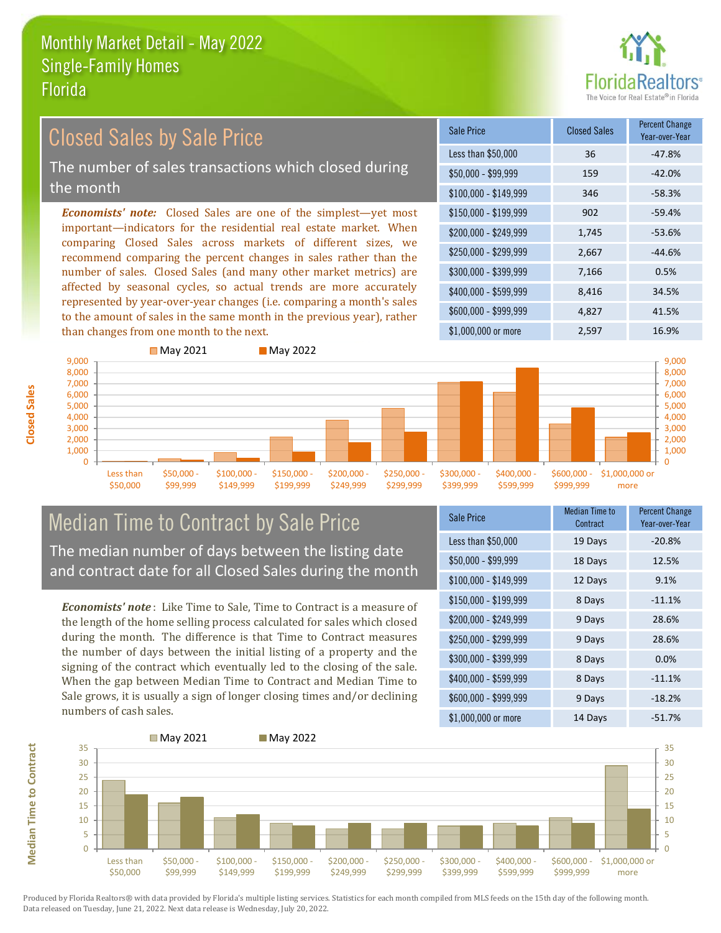

# Closed Sales by Sale Price

The number of sales transactions which closed during the month

*Economists' note:* Closed Sales are one of the simplest—yet most important—indicators for the residential real estate market. When comparing Closed Sales across markets of different sizes, we recommend comparing the percent changes in sales rather than the number of sales. Closed Sales (and many other market metrics) are affected by seasonal cycles, so actual trends are more accurately represented by year-over-year changes (i.e. comparing a month's sales to the amount of sales in the same month in the previous year), rather than changes from one month to the next.

| Sale Price            | <b>Closed Sales</b> | <b>Percent Change</b><br>Year-over-Year |
|-----------------------|---------------------|-----------------------------------------|
| Less than \$50,000    | 36                  | $-47.8%$                                |
| \$50,000 - \$99,999   | 159                 | $-42.0%$                                |
| $$100,000 - $149,999$ | 346                 | $-58.3%$                                |
| $$150,000 - $199,999$ | 902                 | $-59.4%$                                |
| \$200,000 - \$249,999 | 1,745               | $-53.6%$                                |
| \$250,000 - \$299,999 | 2,667               | $-44.6%$                                |
| \$300,000 - \$399,999 | 7,166               | 0.5%                                    |
| \$400,000 - \$599,999 | 8,416               | 34.5%                                   |
| \$600,000 - \$999,999 | 4,827               | 41.5%                                   |
| \$1,000,000 or more   | 2,597               | 16.9%                                   |



# Median Time to Contract by Sale Price The median number of days between the listing date

and contract date for all Closed Sales during the month

*Economists' note* : Like Time to Sale, Time to Contract is a measure of the length of the home selling process calculated for sales which closed during the month. The difference is that Time to Contract measures the number of days between the initial listing of a property and the signing of the contract which eventually led to the closing of the sale. When the gap between Median Time to Contract and Median Time to Sale grows, it is usually a sign of longer closing times and/or declining numbers of cash sales.

| <b>Sale Price</b>     | <b>Median Time to</b><br>Contract | <b>Percent Change</b><br>Year-over-Year |
|-----------------------|-----------------------------------|-----------------------------------------|
| Less than \$50,000    | 19 Days                           | $-20.8%$                                |
| $$50,000 - $99,999$   | 18 Days                           | 12.5%                                   |
| $$100,000 - $149,999$ | 12 Days                           | 9.1%                                    |
| $$150,000 - $199,999$ | 8 Days                            | $-11.1%$                                |
| \$200,000 - \$249,999 | 9 Days                            | 28.6%                                   |
| \$250,000 - \$299,999 | 9 Days                            | 28.6%                                   |
| \$300,000 - \$399,999 | 8 Days                            | 0.0%                                    |
| \$400,000 - \$599,999 | 8 Days                            | $-11.1%$                                |
| \$600,000 - \$999,999 | 9 Days                            | $-18.2%$                                |
| \$1,000,000 or more   | 14 Days                           | $-51.7%$                                |



**Closed Sales**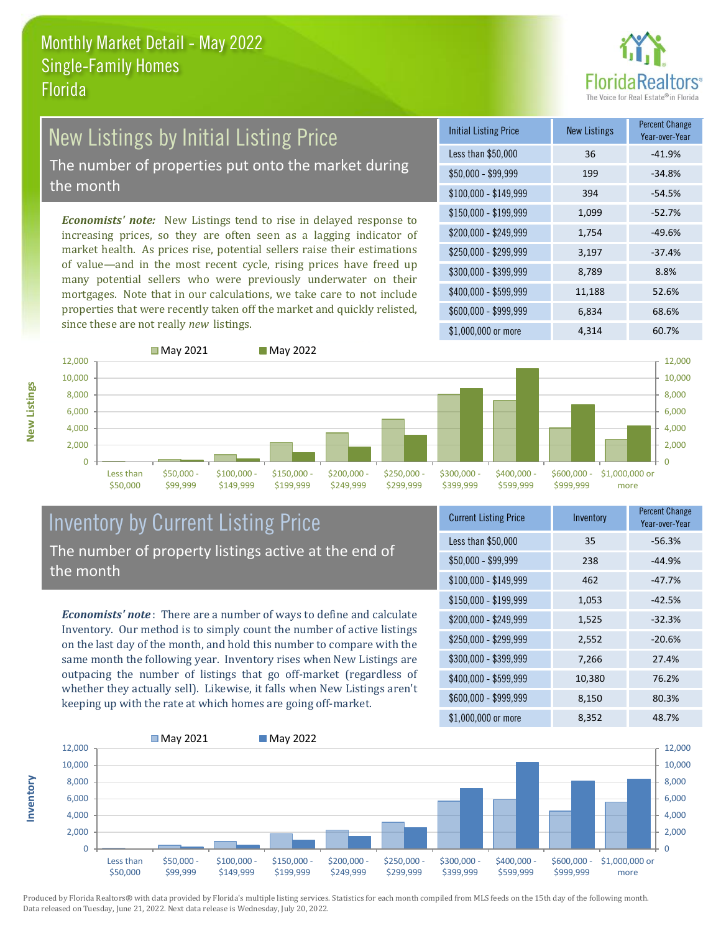

# New Listings by Initial Listing Price

The number of properties put onto the market during the month

*Economists' note:* New Listings tend to rise in delayed response to increasing prices, so they are often seen as a lagging indicator of market health. As prices rise, potential sellers raise their estimations of value—and in the most recent cycle, rising prices have freed up many potential sellers who were previously underwater on their mortgages. Note that in our calculations, we take care to not include properties that were recently taken off the market and quickly relisted, since these are not really *new* listings.

■ May 2021 May 2022

| <b>Initial Listing Price</b> | <b>New Listings</b> | <b>Percent Change</b><br>Year-over-Year |
|------------------------------|---------------------|-----------------------------------------|
| Less than \$50,000           | 36                  | $-41.9%$                                |
| \$50,000 - \$99,999          | 199                 | $-34.8%$                                |
| $$100,000 - $149,999$        | 394                 | $-54.5%$                                |
| $$150,000 - $199,999$        | 1,099               | $-52.7%$                                |
| \$200,000 - \$249,999        | 1,754               | $-49.6%$                                |
| \$250,000 - \$299,999        | 3,197               | $-37.4%$                                |
| \$300,000 - \$399,999        | 8,789               | 8.8%                                    |
| \$400,000 - \$599,999        | 11,188              | 52.6%                                   |
| \$600,000 - \$999,999        | 6,834               | 68.6%                                   |
| \$1,000,000 or more          | 4,314               | 60.7%                                   |





\$600,000 - \$1,000,000 or  $\Omega$ 2,000 4,000 6,000 8,000 10,000

more

12,000

## Inventory by Current Listing Price The number of property listings active at the end of the month

*Economists' note* : There are a number of ways to define and calculate Inventory. Our method is to simply count the number of active listings on the last day of the month, and hold this number to compare with the same month the following year. Inventory rises when New Listings are outpacing the number of listings that go off-market (regardless of whether they actually sell). Likewise, it falls when New Listings aren't keeping up with the rate at which homes are going off-market.

|  | <b>Current Listing Price</b> | Inventory | Percent Change<br>Year-over-Year |
|--|------------------------------|-----------|----------------------------------|
|  | Less than \$50,000           | 35        | $-56.3%$                         |
|  | $$50,000 - $99,999$          | 238       | $-44.9%$                         |
|  | $$100,000 - $149,999$        | 462       | $-47.7%$                         |
|  | $$150,000 - $199,999$        | 1,053     | $-42.5%$                         |
|  | \$200,000 - \$249,999        | 1,525     | $-32.3%$                         |
|  | \$250,000 - \$299,999        | 2,552     | $-20.6%$                         |
|  | \$300,000 - \$399,999        | 7,266     | 27.4%                            |
|  | \$400,000 - \$599,999        | 10,380    | 76.2%                            |
|  | \$600,000 - \$999,999        | 8,150     | 80.3%                            |
|  | \$1,000,000 or more          | 8,352     | 48.7%                            |

\$999,999